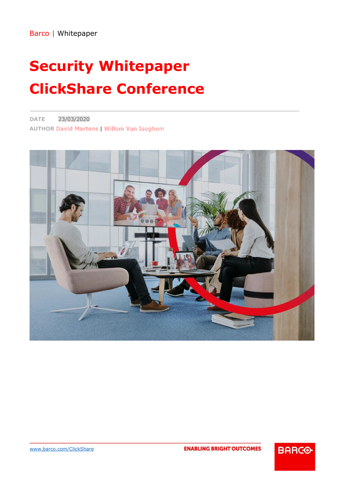# **Security Whitepaper ClickShare Conference**

23/03/2020 **DATE AUTHOR David Martens | Willem Van Iseghem** 



**ENABLING BRIGHT OUTCOMES** 

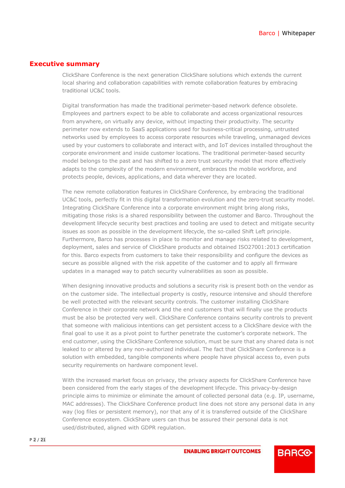## <span id="page-1-0"></span>**Executive summary**

ClickShare Conference is the next generation ClickShare solutions which extends the current local sharing and collaboration capabilities with remote collaboration features by embracing traditional UC&C tools.

Digital transformation has made the traditional perimeter-based network defence obsolete. Employees and partners expect to be able to collaborate and access organizational resources from anywhere, on virtually any device, without impacting their productivity. The security perimeter now extends to SaaS applications used for business-critical processing, untrusted networks used by employees to access corporate resources while traveling, unmanaged devices used by your customers to collaborate and interact with, and IoT devices installed throughout the corporate environment and inside customer locations. The traditional perimeter-based security model belongs to the past and has shifted to a zero trust security model that more effectively adapts to the complexity of the modern environment, embraces the mobile workforce, and protects people, devices, applications, and data wherever they are located.

The new remote collaboration features in ClickShare Conference, by embracing the traditional UC&C tools, perfectly fit in this digital transformation evolution and the zero-trust security model. Integrating ClickShare Conference into a corporate environment might bring along risks, mitigating those risks is a shared responsibility between the customer and Barco. Throughout the development lifecycle security best practices and tooling are used to detect and mitigate security issues as soon as possible in the development lifecycle, the so-called Shift Left principle. Furthermore, Barco has processes in place to monitor and manage risks related to development, deployment, sales and service of ClickShare products and obtained ISO27001:2013 certification for this. Barco expects from customers to take their responsibility and configure the devices as secure as possible aligned with the risk appetite of the customer and to apply all firmware updates in a managed way to patch security vulnerabilities as soon as possible.

When designing innovative products and solutions a security risk is present both on the vendor as on the customer side. The intellectual property is costly, resource intensive and should therefore be well protected with the relevant security controls. The customer installing ClickShare Conference in their corporate network and the end customers that will finally use the products must be also be protected very well. ClickShare Conference contains security controls to prevent that someone with malicious intentions can get persistent access to a ClickShare device with the final goal to use it as a pivot point to further penetrate the customer's corporate network. The end customer, using the ClickShare Conference solution, must be sure that any shared data is not leaked to or altered by any non-authorized individual. The fact that ClickShare Conference is a solution with embedded, tangible components where people have physical access to, even puts security requirements on hardware component level.

With the increased market focus on privacy, the privacy aspects for ClickShare Conference have been considered from the early stages of the development lifecycle. This privacy-by-design principle aims to minimize or eliminate the amount of collected personal data (e.g. IP, username, MAC addresses). The ClickShare Conference product line does not store any personal data in any way (log files or persistent memory), nor that any of it is transferred outside of the ClickShare Conference ecosystem. ClickShare users can thus be assured their personal data is not used/distributed, aligned with GDPR regulation.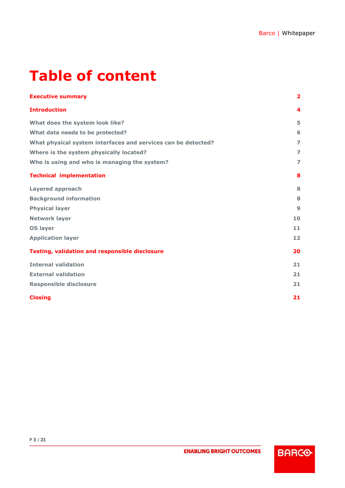# **Table of content**

| <b>Executive summary</b>                                      | 2              |
|---------------------------------------------------------------|----------------|
| <b>Introduction</b>                                           | 4              |
| What does the system look like?                               | 5              |
| What data needs to be protected?                              | 6              |
| What physical system interfaces and services can be detected? | $\overline{z}$ |
| Where is the system physically located?                       | $\overline{z}$ |
| Who is using and who is managing the system?                  | $\overline{z}$ |
| <b>Technical implementation</b>                               | 8              |
| <b>Layered approach</b>                                       | 8              |
| <b>Background information</b>                                 | 8              |
| <b>Physical layer</b>                                         | $\mathbf{9}$   |
| <b>Network layer</b>                                          | 10             |
| <b>OS layer</b>                                               | 11             |
| <b>Application layer</b>                                      | 12             |
| <b>Testing, validation and responsible disclosure</b>         | 20             |
| <b>Internal validation</b>                                    | 21             |
| <b>External validation</b>                                    | 21             |
| <b>Responsible disclosure</b>                                 | 21             |
| <b>Closing</b>                                                | 21             |

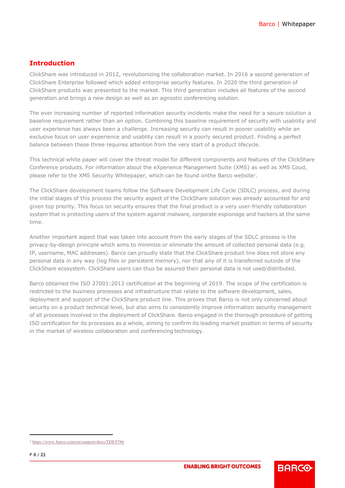## <span id="page-3-0"></span>**Introduction**

ClickShare was introduced in 2012, revolutionizing the collaboration market. In 2016 a second generation of ClickShare Enterprise followed which added enterprise security features. In 2020 the third generation of ClickShare products was presented to the market. This third generation includes all features of the second generation and brings a new design as well as an agnostic conferencing solution.

The ever increasing number of reported information security incidents make the need for a secure solution a baseline requirement rather than an option. Combining this baseline requirement of security with usability and user experience has always been a challenge. Increasing security can result in poorer usability while an exclusive focus on user experience and usablity can result in a poorly secured product. Finding a perfect balance between these three requires attention from the very start of a product lifecycle.

This technical white paper will cover the threat model for different components and features of the ClickShare Conference products. For information about the eXperience Management Suite (XMS) as well as XMS Coud, please refer to the XMS Security Whitepaper, which can be found onthe Barco website1.

The ClickShare development teams follow the Software Development Life Cycle (SDLC) process, and during the initial stages of this process the security aspect of the ClickShare solution was already accounted for and given top priority. This focus on security ensures that the final product is a very user-friendly collaboration system that is protecting users of the system against malware, corporate espionage and hackers at the same time.

Another important aspect that was taken into account from the early stages of the SDLC process is the privacy-by-design principle which aims to minimize or eliminate the amount of collected personal data (e.g. IP, username, MAC addresses). Barco can proudly state that the ClickShare product line does not store any personal data in any way (log files or persistent memory), nor that any of it is transferred outside of the ClickShare ecosystem. ClickShare users can thus be assured their personal data is not used/distributed.

Barco obtained the ISO 27001:2013 certification at the beginning of 2019. The scope of the certification is restricted to the business processes and infrastructure that relate to the software development, sales, deployment and support of the ClickShare product line. This proves that Barco is not only concerned about security on a product technical level, but also aims to consistently improve information security management of all processes involved in the deployment of ClickShare. Barco engaged in the thorough procedure of getting ISO certification for its processes as a whole, aiming to confirm its leading market position in terms of security in the market of wireless collaboration and conferencing technology.

[<sup>1</sup> https://www.barco.com/en/support/docs/TDE9786](https://www.barco.com/en/support/docs/TDE9786)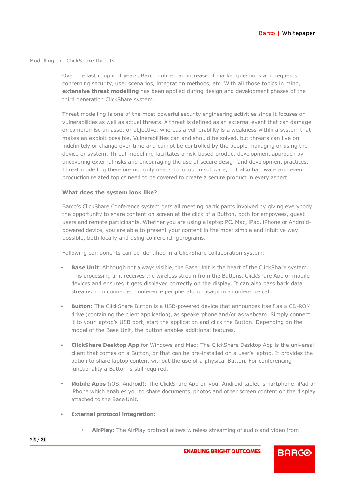#### Modelling the ClickShare threats

Over the last couple of years, Barco noticed an increase of market questions and requests concerning security, user scenarios, integration methods, etc. With all those topics in mind, **extensive threat modelling** has been applied during design and development phases of the third generation ClickShare system.

Threat modelling is one of the most powerful security engineering activities since it focuses on vulnerabilities as well as actual threats. A threat is defined as an external event that can damage or compromise an asset or objective, whereas a vulnerability is a weakness within a system that makes an exploit possible. Vulnerabilities can and should be solved, but threats can live on indefinitely or change over time and cannot be controlled by the people managing or using the device or system. Threat modelling facilitates a risk-based product development approach by uncovering external risks and encouraging the use of secure design and development practices. Threat modelling therefore not only needs to focus on software, but also hardware and even production related topics need to be covered to create a secure product in every aspect.

#### <span id="page-4-0"></span>**What does the system look like?**

Barco's ClickShare Conference system gets all meeting participants involved by giving everybody the opportunity to share content on screen at the click of a Button, both for empoyees, guest users and remote participants. Whether you are using a laptop PC, Mac, iPad, iPhone or Androidpowered device, you are able to present your content in the most simple and intuitive way possible, both locally and using conferencing programs.

Following components can be identified in a ClickShare collaboration system:

- **Base Unit**: Although not always visible, the Base Unit is the heart of the ClickShare system. This processing unit receives the wireless stream from the Buttons, ClickShare App or mobile devices and ensures it gets displayed correctly on the display. It can also pass back data streams from connected conference peripherals for usage in a conference call.
- **Button**: The ClickShare Button is a USB-powered device that announces itself as a CD-ROM drive (containing the client application), as speakerphone and/or as webcam. Simply connect it to your laptop's USB port, start the application and click the Button. Depending on the model of the Base Unit, the button enables additional features.
- **ClickShare Desktop App** for Windows and Mac: The ClickShare Desktop App is the universal client that comes on a Button, or that can be pre-installed on a user's laptop. It provides the option to share laptop content without the use of a physical Button. For conferencing functionality a Button is still required.
- **Mobile Apps** (iOS, Android): The ClickShare App on your Android tablet, smartphone, iPad or iPhone which enables you to share documents, photos and other screen content on the display attached to the Base Unit.
- **External protocol integration:**
	- **AirPlay**: The AirPlay protocol allows wireless streaming of audio and video from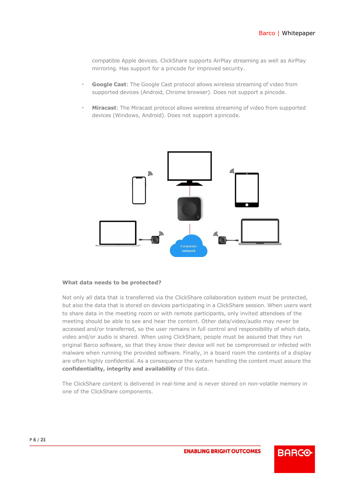compatible Apple devices. ClickShare supports AirPlay streaming as well as AirPlay mirroring. Has support for a pincode for improved security.

- **Google Cast:** The Google Cast protocol allows wireless streaming of video from supported devices (Android, Chrome browser). Does not support a pincode.
- **Miracast:** The Miracast protocol allows wireless streaming of video from supported devices (Windows, Android). Does not support apincode.



#### <span id="page-5-0"></span>**What data needs to be protected?**

Not only all data that is transferred via the ClickShare collaboration system must be protected, but also the data that is stored on devices participating in a ClickShare session. When users want to share data in the meeting room or with remote participants, only invited attendees of the meeting should be able to see and hear the content. Other data/video/audio may never be accessed and/or transferred, so the user remains in full control and responsibility of which data, video and/or audio is shared. When using ClickShare, people must be assured that they run original Barco software, so that they know their device will not be compromised or infected with malware when running the provided software. Finally, in a board room the contents of a display are often highly confidential. As a consequence the system handling the content must assure the **confidentiality, integrity and availability** of this data.

The ClickShare content is delivered in real-time and is never stored on non-volatile memory in one of the ClickShare components.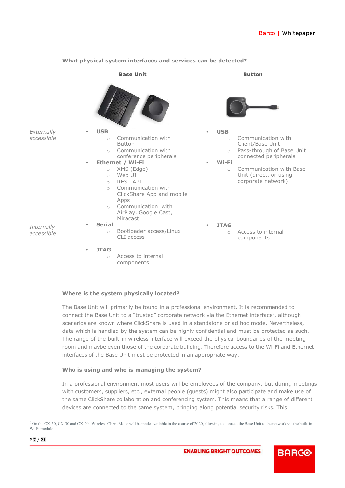<span id="page-6-0"></span>

#### **What physical system interfaces and services can be detected?**

#### <span id="page-6-1"></span>**Where is the system physically located?**

The Base Unit will primarily be found in a professional environment. It is recommended to connect the Base Unit to a "trusted" corporate network via the Ethernet interface<sup>2</sup>, although scenarios are known where ClickShare is used in a standalone or ad hoc mode. Nevertheless, data which is handled by the system can be highly confidential and must be protected as such. The range of the built-in wireless interface will exceed the physical boundaries of the meeting room and maybe even those of the corporate building. Therefore access to the Wi-Fi and Ethernet interfaces of the Base Unit must be protected in an appropriate way.

#### <span id="page-6-2"></span>**Who is using and who is managing the system?**

In a professional environment most users will be employees of the company, but during meetings with customers, suppliers, etc., external people (guests) might also participate and make use of the same ClickShare collaboration and conferencing system. This means that a range of different devices are connected to the same system, bringing along potential security risks. This

<sup>2</sup> On the CX-50, CX-30 and CX-20, Wireless Client Mode will be made available in the course of 2020, allowing to connect the Base Unit to the network via the built-in Wi-Fi module.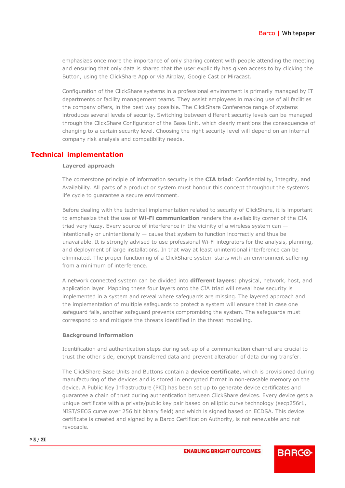emphasizes once more the importance of only sharing content with people attending the meeting and ensuring that only data is shared that the user explicitly has given access to by clicking the Button, using the ClickShare App or via Airplay, Google Cast or Miracast.

Configuration of the ClickShare systems in a professional environment is primarily managed by IT departments or facility management teams. They assist employees in making use of all facilities the company offers, in the best way possible. The ClickShare Conference range of systems introduces several levels of security. Switching between different security levels can be managed through the ClickShare Configurator of the Base Unit, which clearly mentions the consequences of changing to a certain security level. Choosing the right security level will depend on an internal company risk analysis and compatibility needs.

## <span id="page-7-1"></span><span id="page-7-0"></span>**Technical implementation**

#### **Layered approach**

The cornerstone principle of information security is the **CIA triad**: Confidentiality, Integrity, and Availability. All parts of a product or system must honour this concept throughout the system's life cycle to guarantee a secure environment.

Before dealing with the technical implementation related to security of ClickShare, it is important to emphasize that the use of **Wi-Fi communication** renders the availability corner of the CIA triad very fuzzy. Every source of interference in the vicinity of a wireless system can intentionally or unintentionally  $-$  cause that system to function incorrectly and thus be unavailable. It is strongly advised to use professional Wi-Fi integrators for the analysis, planning, and deployment of large installations. In that way at least unintentional interference can be eliminated. The proper functioning of a ClickShare system starts with an environment suffering from a minimum of interference.

A network connected system can be divided into **different layers**: physical, network, host, and application layer. Mapping these four layers onto the CIA triad will reveal how security is implemented in a system and reveal where safeguards are missing. The layered approach and the implementation of multiple safeguards to protect a system will ensure that in case one safeguard fails, another safeguard prevents compromising the system. The safeguards must correspond to and mitigate the threats identified in the threat modelling.

#### <span id="page-7-2"></span>**Background information**

Identification and authentication steps during set-up of a communication channel are crucial to trust the other side, encrypt transferred data and prevent alteration of data during transfer.

The ClickShare Base Units and Buttons contain a **device certificate**, which is provisioned during manufacturing of the devices and is stored in encrypted format in non-erasable memory on the device. A Public Key Infrastructure (PKI) has been set up to generate device certificates and guarantee a chain of trust during authentication between ClickShare devices. Every device gets a unique certificate with a private/public key pair based on elliptic curve technology (secp256r1, NIST/SECG curve over 256 bit binary field) and which is signed based on ECDSA. This device certificate is created and signed by a Barco Certification Authority, is not renewable and not revocable.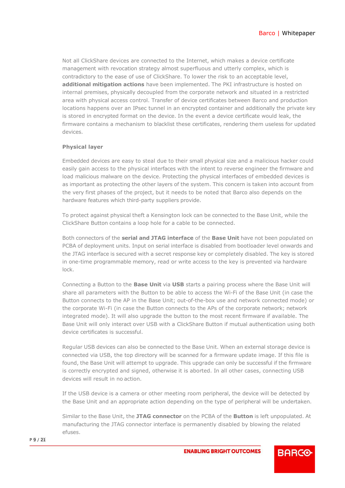Not all ClickShare devices are connected to the Internet, which makes a device certificate management with revocation strategy almost superfluous and utterly complex, which is contradictory to the ease of use of ClickShare. To lower the risk to an acceptable level, **additional mitigation actions** have been implemented. The PKI infrastructure is hosted on internal premises, physically decoupled from the corporate network and situated in a restricted area with physical access control. Transfer of device certificates between Barco and production locations happens over an IPsec tunnel in an encrypted container and additionally the private key is stored in encrypted format on the device. In the event a device certificate would leak, the firmware contains a mechanism to blacklist these certificates, rendering them useless for updated devices.

#### <span id="page-8-0"></span>**Physical layer**

Embedded devices are easy to steal due to their small physical size and a malicious hacker could easily gain access to the physical interfaces with the intent to reverse engineer the firmware and load malicious malware on the device. Protecting the physical interfaces of embedded devices is as important as protecting the other layers of the system. This concern is taken into account from the very first phases of the project, but it needs to be noted that Barco also depends on the hardware features which third-party suppliers provide.

To protect against physical theft a Kensington lock can be connected to the Base Unit, while the ClickShare Button contains a loop hole for a cable to be connected.

Both connectors of the **serial and JTAG interface** of the **Base Unit** have not been populated on PCBA of deployment units. Input on serial interface is disabled from bootloader level onwards and the JTAG interface is secured with a secret response key or completely disabled. The key is stored in one-time programmable memory, read or write access to the key is prevented via hardware lock.

Connecting a Button to the **Base Unit** via **USB** starts a pairing process where the Base Unit will share all parameters with the Button to be able to access the Wi-Fi of the Base Unit (in case the Button connects to the AP in the Base Unit; out-of-the-box use and network connected mode) or the corporate Wi-Fi (in case the Button connects to the APs of the corporate network; network integrated mode). It will also upgrade the button to the most recent firmware if available. The Base Unit will only interact over USB with a ClickShare Button if mutual authentication using both device certificates is successful.

Regular USB devices can also be connected to the Base Unit. When an external storage device is connected via USB, the top directory will be scanned for a firmware update image. If this file is found, the Base Unit will attempt to upgrade. This upgrade can only be successful if the firmware is correctly encrypted and signed, otherwise it is aborted. In all other cases, connecting USB devices will result in no action.

If the USB device is a camera or other meeting room peripheral, the device will be detected by the Base Unit and an appropriate action depending on the type of peripheral will be undertaken.

Similar to the Base Unit, the **JTAG connector** on the PCBA of the **Button** is left unpopulated. At manufacturing the JTAG connector interface is permanently disabled by blowing the related efuses.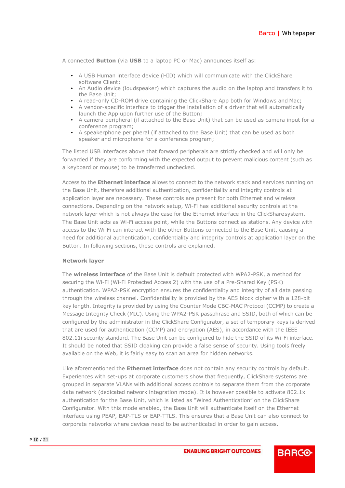A connected **Button** (via **USB** to a laptop PC or Mac) announces itself as:

- A USB Human interface device (HID) which will communicate with the ClickShare software Client;
- An Audio device (loudspeaker) which captures the audio on the laptop and transfers it to the Base Unit;
- A read-only CD-ROM drive containing the ClickShare App both for Windows and Mac;
- A vendor-specific interface to trigger the installation of a driver that will automatically launch the App upon further use of the Button;
- A camera peripheral (if attached to the Base Unit) that can be used as camera input for a conference program;
- A speakerphone peripheral (if attached to the Base Unit) that can be used as both speaker and microphone for a conference program;

The listed USB interfaces above that forward peripherals are strictly checked and will only be forwarded if they are conforming with the expected output to prevent malicious content (such as a keyboard or mouse) to be transferred unchecked.

Access to the **Ethernet interface** allows to connect to the network stack and services running on the Base Unit, therefore additional authentication, confidentiality and integrity controls at application layer are necessary. These controls are present for both Ethernet and wireless connections. Depending on the network setup, Wi-Fi has additional security controls at the network layer which is not always the case for the Ethernet interface in the ClickSharesystem. The Base Unit acts as Wi-Fi access point, while the Buttons connect as stations. Any device with access to the Wi-Fi can interact with the other Buttons connected to the Base Unit, causing a need for additional authentication, confidentiality and integrity controls at application layer on the Button. In following sections, these controls are explained.

#### <span id="page-9-0"></span>**Network layer**

The **wireless interface** of the Base Unit is default protected with WPA2-PSK, a method for securing the Wi-Fi (Wi-Fi Protected Access 2) with the use of a Pre-Shared Key (PSK) authentication. WPA2-PSK encryption ensures the confidentiality and integrity of all data passing through the wireless channel. Confidentiality is provided by the AES block cipher with a 128-bit key length. Integrity is provided by using the Counter Mode CBC-MAC Protocol (CCMP) to create a Message Integrity Check (MIC). Using the WPA2-PSK passphrase and SSID, both of which can be configured by the administrator in the ClickShare Configurator, a set of temporary keys is derived that are used for authentication (CCMP) and encryption (AES), in accordance with the IEEE 802.11i security standard. The Base Unit can be configured to hide the SSID of its Wi-Fi interface. It should be noted that SSID cloaking can provide a false sense of security. Using tools freely available on the Web, it is fairly easy to scan an area for hidden networks.

Like aforementioned the **Ethernet interface** does not contain any security controls by default. Experiences with set-ups at corporate customers show that frequently, ClickShare systems are grouped in separate VLANs with additional access controls to separate them from the corporate data network (dedicated network integration mode). It is however possible to activate 802.1x authentication for the Base Unit, which is listed as "Wired Authentication" on the ClickShare Configurator. With this mode enabled, the Base Unit will authenticate itself on the Ethernet interface using PEAP, EAP-TLS or EAP-TTLS. This ensures that a Base Unit can also connect to corporate networks where devices need to be authenticated in order to gain access.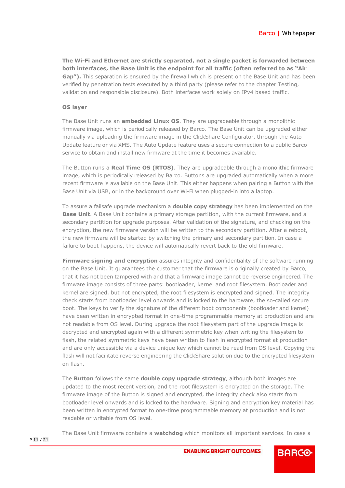**The Wi-Fi and Ethernet are strictly separated, not a single packet is forwarded between both interfaces, the Base Unit is the endpoint for all traffic (often referred to as "Air**  Gap"). This separation is ensured by the firewall which is present on the Base Unit and has been verified by penetration tests executed by a third party (please refer to the chapter Testing, validation and responsible disclosure). Both interfaces work solely on IPv4 based traffic.

#### <span id="page-10-0"></span>**OS layer**

The Base Unit runs an **embedded Linux OS**. They are upgradeable through a monolithic firmware image, which is periodically released by Barco. The Base Unit can be upgraded either manually via uploading the firmware image in the ClickShare Configurator, through the Auto Update feature or via XMS. The Auto Update feature uses a secure connection to a public Barco service to obtain and install new firmware at the time it becomes available.

The Button runs a **Real Time OS (RTOS)**. They are upgradeable through a monolithic firmware image, which is periodically released by Barco. Buttons are upgraded automatically when a more recent firmware is available on the Base Unit. This either happens when pairing a Button with the Base Unit via USB, or in the background over Wi-Fi when plugged-in into a laptop.

To assure a failsafe upgrade mechanism a **double copy strategy** has been implemented on the **Base Unit**. A Base Unit contains a primary storage partition, with the current firmware, and a secondary partition for upgrade purposes. After validation of the signature, and checking on the encryption, the new firmware version will be written to the secondary partition. After a reboot, the new firmware will be started by switching the primary and secondary partition. In case a failure to boot happens, the device will automatically revert back to the old firmware.

**Firmware signing and encryption** assures integrity and confidentiality of the software running on the Base Unit. It guarantees the customer that the firmware is originally created by Barco, that it has not been tampered with and that a firmware image cannot be reverse engineered. The firmware image consists of three parts: bootloader, kernel and root filesystem. Bootloader and kernel are signed, but not encrypted, the root filesystem is encrypted and signed. The integrity check starts from bootloader level onwards and is locked to the hardware, the so-called secure boot. The keys to verify the signature of the different boot components (bootloader and kernel) have been written in encrypted format in one-time programmable memory at production and are not readable from OS level. During upgrade the root filesystem part of the upgrade image is decrypted and encrypted again with a different symmetric key when writing the filesystem to flash, the related symmetric keys have been written to flash in encrypted format at production and are only accessible via a device unique key which cannot be read from OS level. Copying the flash will not facilitate reverse engineering the ClickShare solution due to the encrypted filesystem on flash.

The **Button** follows the same **double copy upgrade strategy**, although both images are updated to the most recent version, and the root filesystem is encrypted on the storage. The firmware image of the Button is signed and encrypted, the integrity check also starts from bootloader level onwards and is locked to the hardware. Signing and encryption key material has been written in encrypted format to one-time programmable memory at production and is not readable or writable from OS level.

The Base Unit firmware contains a **watchdog** which monitors all important services. In case a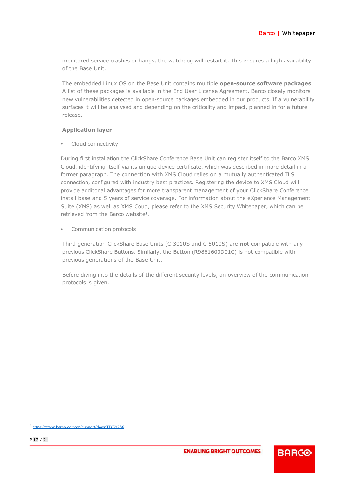monitored service crashes or hangs, the watchdog will restart it. This ensures a high availability of the Base Unit.

The embedded Linux OS on the Base Unit contains multiple **open-source software packages**. A list of these packages is available in the End User License Agreement. Barco closely monitors new vulnerabilities detected in open-source packages embedded in our products. If a vulnerability surfaces it will be analysed and depending on the criticality and impact, planned in for a future release.

## <span id="page-11-0"></span>**Application layer**

• Cloud connectivity

During first installation the ClickShare Conference Base Unit can register itself to the Barco XMS Cloud, identifying itself via its unique device certificate, which was described in more detail in a former paragraph. The connection with XMS Cloud relies on a mutually authenticated TLS connection, configured with industry best practices. Registering the device to XMS Cloud will provide additonal advantages for more transparent management of your ClickShare Conference install base and 5 years of service coverage. For information about the eXperience Management Suite (XMS) as well as XMS Coud, please refer to the XMS Security Whitepaper, which can be retrieved from the Barco website<sup>3</sup>.

• Communication protocols

Third generation ClickShare Base Units (C 3010S and C 5010S) are **not** compatible with any previous ClickShare Buttons. Similarly, the Button (R9861600D01C) is not compatible with previous generations of the Base Unit.

Before diving into the details of the different security levels, an overview of the communication protocols is given.

<sup>3</sup> <https://www.barco.com/en/support/docs/TDE9786>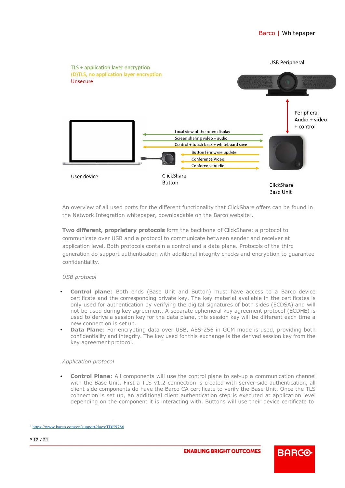

<span id="page-12-0"></span>An overview of all used ports for the different functionality that ClickShare offers can be found in the Network Integration whitepaper, downloadable on the Barco website<sup>4</sup>.

**Two different, proprietary protocols** form the backbone of ClickShare: a protocol to communicate over USB and a protocol to communicate between sender and receiver at application level. Both protocols contain a control and a data plane. Protocols of the third generation do support authentication with additional integrity checks and encryption to guarantee confidentiality.

## *USB protocol*

- **Control plane**: Both ends (Base Unit and Button) must have access to a Barco device certificate and the corresponding private key. The key material available in the certificates is only used for authentication by verifying the digital signatures of both sides (ECDSA) and will not be used during key agreement. A separate ephemeral key agreement protocol (ECDHE) is used to derive a session key for the data plane, this session key will be different each time a new connection is set up.
- **Data Plane**: For encrypting data over USB, AES-256 in GCM mode is used, providing both confidentiality and integrity. The key used for this exchange is the derived session key from the key agreement protocol.

#### *Application protocol*

• **Control Plane**: All components will use the control plane to set-up a communication channel with the Base Unit. First a TLS v1.2 connection is created with server-side authentication, all client side components do have the Barco CA certificate to verify the Base Unit. Once the TLS connection is set up, an additional client authentication step is executed at application level depending on the component it is interacting with. Buttons will use their device certificate to

<sup>4</sup> <https://www.barco.com/en/support/docs/TDE9786>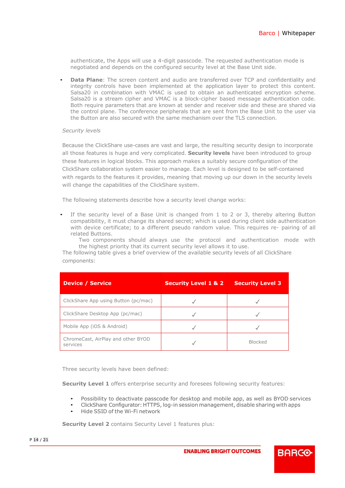authenticate, the Apps will use a 4-digit passcode. The requested authentication mode is negotiated and depends on the configured security level at the Base Unit side.

**Data Plane**: The screen content and audio are transferred over TCP and confidentiality and integrity controls have been implemented at the application layer to protect this content. Salsa20 in combination with VMAC is used to obtain an authenticated encryption scheme. Salsa20 is a stream cipher and VMAC is a block-cipher based message authentication code. Both require parameters that are known at sender and receiver side and these are shared via the control plane. The conference peripherals that are sent from the Base Unit to the user via the Button are also secured with the same mechanism over the TLS connection.

#### *Security levels*

Because the ClickShare use-cases are vast and large, the resulting security design to incorporate all those features is huge and very complicated. **Security levels** have been introduced to group these features in logical blocks. This approach makes a suitably secure configuration of the ClickShare collaboration system easier to manage. Each level is designed to be self-contained with regards to the features it provides, meaning that moving up our down in the security levels will change the capabilities of the ClickShare system.

The following statements describe how a security level change works:

If the security level of a Base Unit is changed from 1 to 2 or 3, thereby altering Button compatibility, it must change its shared secret; which is used during client side authentication with device certificate; to a different pseudo random value. This requires re- pairing of all related Buttons.

Two components should always use the protocol and authentication mode with the highest priority that its current security level allows it to use.

The following table gives a brief overview of the available security levels of all ClickShare components:

| <b>Device / Service</b>                        | <b>Security Level 1 &amp; 2</b> | <b>Security Level 3</b> |
|------------------------------------------------|---------------------------------|-------------------------|
| ClickShare App using Button (pc/mac)           |                                 |                         |
| ClickShare Desktop App (pc/mac)                |                                 |                         |
| Mobile App (iOS & Android)                     |                                 |                         |
| ChromeCast, AirPlay and other BYOD<br>services |                                 | <b>Blocked</b>          |

Three security levels have been defined:

**Security Level 1** offers enterprise security and foresees following security features:

- Possibility to deactivate passcode for desktop and mobile app, as well as BYOD services
- ClickShare Configurator: HTTPS, log-in session management, disable sharing with apps
- Hide SSID of the Wi-Fi network

**Security Level 2** contains Security Level 1 features plus: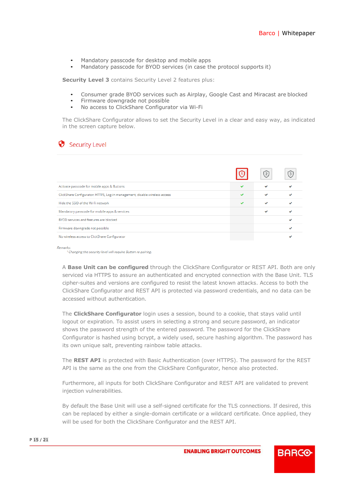- Mandatory passcode for desktop and mobile apps
- Mandatory passcode for BYOD services (in case the protocol supports it)

**Security Level 3** contains Security Level 2 features plus:

- Consumer grade BYOD services such as Airplay, Google Cast and Miracast are blocked
- Firmware downgrade not possible
- No access to ClickShare Configurator via Wi-Fi

The ClickShare Configurator allows to set the Security Level in a clear and easy way, as indicated in the screen capture below.

## Security Level

|                                                                            |   | (2) |  |
|----------------------------------------------------------------------------|---|-----|--|
| Activate passcode for mobile apps & Buttons                                |   |     |  |
| ClickShare Configurator: HTTPS, Log-in management, disable wireless access | ◡ |     |  |
| Hide the SSID of the Wi-Fi network                                         | ◡ |     |  |
| Mandatory passcode for mobile apps & services                              |   |     |  |
| BYOD services and features are blocked                                     |   |     |  |
| Firmware downgrade not possible                                            |   |     |  |
| No wireless access to ClickShare Configurator                              |   |     |  |

Remarks

<sup>1</sup> Changing the security level will require Button re-pairing.

A **Base Unit can be configured** through the ClickShare Configurator or REST API. Both are only serviced via HTTPS to assure an authenticated and encrypted connection with the Base Unit. TLS cipher-suites and versions are configured to resist the latest known attacks. Access to both the ClickShare Configurator and REST API is protected via password credentials, and no data can be accessed without authentication.

The **ClickShare Configurator** login uses a session, bound to a cookie, that stays valid until logout or expiration. To assist users in selecting a strong and secure password, an indicator shows the password strength of the entered password. The password for the ClickShare Configurator is hashed using bcrypt, a widely used, secure hashing algorithm. The password has its own unique salt, preventing rainbow table attacks.

The **REST API** is protected with Basic Authentication (over HTTPS). The password for the REST API is the same as the one from the ClickShare Configurator, hence also protected.

Furthermore, all inputs for both ClickShare Configurator and REST API are validated to prevent injection vulnerabilities.

By default the Base Unit will use a self-signed certificate for the TLS connections. If desired, this can be replaced by either a single-domain certificate or a wildcard certificate. Once applied, they will be used for both the ClickShare Configurator and the REST API.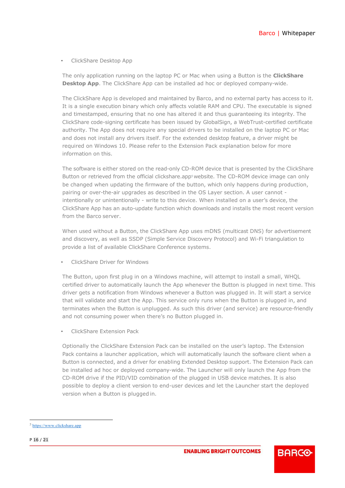• ClickShare Desktop App

The only application running on the laptop PC or Mac when using a Button is the **ClickShare Desktop App**. The ClickShare App can be installed ad hoc or deployed company-wide.

The ClickShare App is developed and maintained by Barco, and no external party has access to it. It is a single execution binary which only affects volatile RAM and CPU. The executable is signed and timestamped, ensuring that no one has altered it and thus guaranteeing its integrity. The ClickShare code-signing certificate has been issued by GlobalSign, a WebTrust-certified certificate authority. The App does not require any special drivers to be installed on the laptop PC or Mac and does not install any drivers itself. For the extended desktop feature, a driver might be required on Windows 10. Please refer to the Extension Pack explanation below for more information on this.

The software is either stored on the read-only CD-ROM device that is presented by the ClickShare Button or retrieved from the official clickshare.app<sup>5</sup> website. The CD-ROM device image can only be changed when updating the firmware of the button, which only happens during production, pairing or over-the-air upgrades as described in the OS Layer section. A user cannot intentionally or unintentionally - write to this device. When installed on a user's device, the ClickShare App has an auto-update function which downloads and installs the most recent version from the Barco server.

When used without a Button, the ClickShare App uses mDNS (multicast DNS) for advertisement and discovery, as well as SSDP (Simple Service Discovery Protocol) and Wi-Fi triangulation to provide a list of available ClickShare Conference systems.

• ClickShare Driver for Windows

The Button, upon first plug in on a Windows machine, will attempt to install a small, WHQL certified driver to automatically launch the App whenever the Button is plugged in next time. This driver gets a notification from Windows whenever a Button was plugged in. It will start a service that will validate and start the App. This service only runs when the Button is plugged in, and terminates when the Button is unplugged. As such this driver (and service) are resource-friendly and not consuming power when there's no Button plugged in.

• ClickShare Extension Pack

Optionally the ClickShare Extension Pack can be installed on the user's laptop. The Extension Pack contains a launcher application, which will automatically launch the software client when a Button is connected, and a driver for enabling Extended Desktop support. The Extension Pack can be installed ad hoc or deployed company-wide. The Launcher will only launch the App from the CD-ROM drive if the PID/VID combination of the plugged in USB device matches. It is also possible to deploy a client version to end-user devices and let the Launcher start the deployed version when a Button is plugged in.

<sup>5</sup> [https://www.clickshare.app](https://www.clickshare.app/)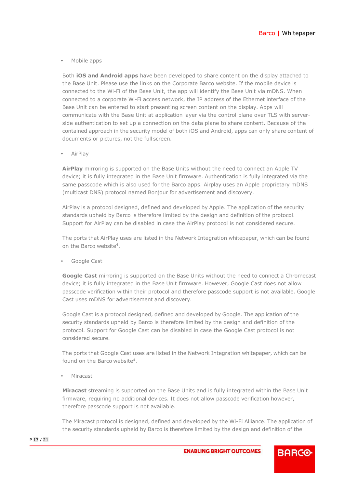• Mobile apps

Both **iOS and Android apps** have been developed to share content on the display attached to the Base Unit. Please use the links on the Corporate Barco website. If the mobile device is connected to the Wi-Fi of the Base Unit, the app will identify the Base Unit via mDNS. When connected to a corporate Wi-Fi access network, the IP address of the Ethernet interface of the Base Unit can be entered to start presenting screen content on the display. Apps will communicate with the Base Unit at application layer via the control plane over TLS with serverside authentication to set up a connection on the data plane to share content. Because of the contained approach in the security model of both iOS and Android, apps can only share content of documents or pictures, not the full screen.

• AirPlay

**AirPlay** mirroring is supported on the Base Units without the need to connect an Apple TV device; it is fully integrated in the Base Unit firmware. Authentication is fully integrated via the same passcode which is also used for the Barco apps. Airplay uses an Apple proprietary mDNS (multicast DNS) protocol named Bonjour for advertisement and discovery.

AirPlay is a protocol designed, defined and developed by Apple. The application of the security standards upheld by Barco is therefore limited by the design and definition of the protocol. Support for AirPlay can be disabled in case the AirPlay protocol is not considered secure.

The ports that AirPlay uses are listed in the Network Integration whitepaper, which can be found on the Barco websit[e4.](#page-12-0)

Google Cast

**Google Cast** mirroring is supported on the Base Units without the need to connect a Chromecast device; it is fully integrated in the Base Unit firmware. However, Google Cast does not allow passcode verification within their protocol and therefore passcode support is not available. Google Cast uses mDNS for advertisement and discovery.

Google Cast is a protocol designed, defined and developed by Google. The application of the security standards upheld by Barco is therefore limited by the design and definition of the protocol. Support for Google Cast can be disabled in case the Google Cast protocol is not considered secure.

The ports that Google Cast uses are listed in the Network Integration whitepaper, which can be found on the Barco website<sup>4</sup>.

• Miracast

**Miracast** streaming is supported on the Base Units and is fully integrated within the Base Unit firmware, requiring no additional devices. It does not allow passcode verification however, therefore passcode support is not available.

The Miracast protocol is designed, defined and developed by the Wi-Fi Alliance. The application of the security standards upheld by Barco is therefore limited by the design and definition of the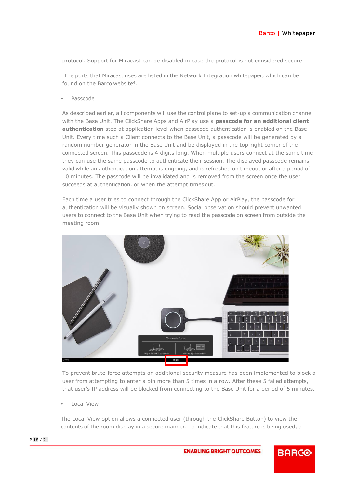protocol. Support for Miracast can be disabled in case the protocol is not considered secure.

The ports that Miracast uses are listed in the Network Integration whitepaper, which can be found on the Barco website<sup>4</sup>.

• Passcode

As described earlier, all components will use the control plane to set-up a communication channel with the Base Unit. The ClickShare Apps and AirPlay use a **passcode for an additional client authentication** step at application level when passcode authentication is enabled on the Base Unit. Every time such a Client connects to the Base Unit, a passcode will be generated by a random number generator in the Base Unit and be displayed in the top-right corner of the connected screen. This passcode is 4 digits long. When multiple users connect at the same time they can use the same passcode to authenticate their session. The displayed passcode remains valid while an authentication attempt is ongoing, and is refreshed on timeout or after a period of 10 minutes. The passcode will be invalidated and is removed from the screen once the user succeeds at authentication, or when the attempt timesout.

Each time a user tries to connect through the ClickShare App or AirPlay, the passcode for authentication will be visually shown on screen. Social observation should prevent unwanted users to connect to the Base Unit when trying to read the passcode on screen from outside the meeting room.



To prevent brute-force attempts an additional security measure has been implemented to block a user from attempting to enter a pin more than 5 times in a row. After these 5 failed attempts, that user's IP address will be blocked from connecting to the Base Unit for a period of 5 minutes.

• Local View

The Local View option allows a connected user (through the ClickShare Button) to view the contents of the room display in a secure manner. To indicate that this feature is being used, a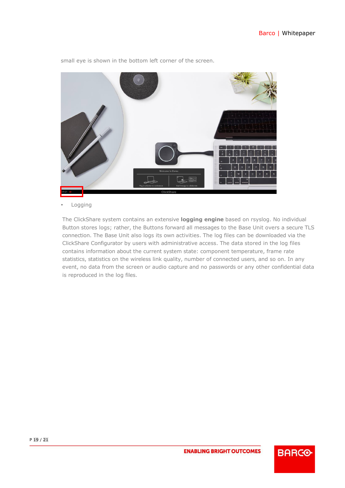

small eye is shown in the bottom left corner of the screen.

• Logging

The ClickShare system contains an extensive **logging engine** based on rsyslog. No individual Button stores logs; rather, the Buttons forward all messages to the Base Unit overs a secure TLS connection. The Base Unit also logs its own activities. The log files can be downloaded via the ClickShare Configurator by users with administrative access. The data stored in the log files contains information about the current system state: component temperature, frame rate statistics, statistics on the wireless link quality, number of connected users, and so on. In any event, no data from the screen or audio capture and no passwords or any other confidential data is reproduced in the log files.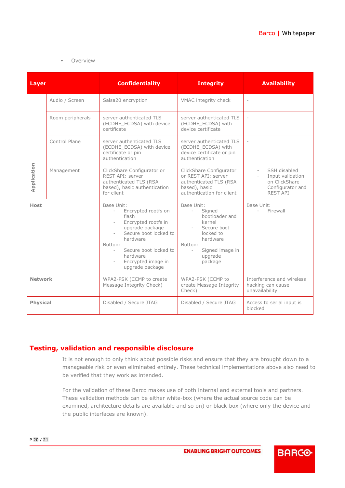#### • Overview

| <b>Layer</b>    |                  | <b>Confidentiality</b>                                                                                                                                                                                                                | <b>Integrity</b>                                                                                                                                                                                 | <b>Availability</b>                                                                                                  |
|-----------------|------------------|---------------------------------------------------------------------------------------------------------------------------------------------------------------------------------------------------------------------------------------|--------------------------------------------------------------------------------------------------------------------------------------------------------------------------------------------------|----------------------------------------------------------------------------------------------------------------------|
| Application     | Audio / Screen   | Salsa20 encryption                                                                                                                                                                                                                    | VMAC integrity check                                                                                                                                                                             | $\overline{\phantom{a}}$                                                                                             |
|                 | Room peripherals | server authenticated TLS<br>(ECDHE_ECDSA) with device<br>certificate                                                                                                                                                                  | server authenticated TLS<br>(ECDHE_ECDSA) with<br>device certificate                                                                                                                             | $\overline{\phantom{a}}$                                                                                             |
|                 | Control Plane    | server authenticated TLS<br>(ECDHE_ECDSA) with device<br>certificate or pin<br>authentication                                                                                                                                         | server authenticated TLS<br>(ECDHE ECDSA) with<br>device certificate or pin<br>authentication                                                                                                    | $\sim$                                                                                                               |
|                 | Management       | ClickShare Configurator or<br>REST API: server<br>authenticated TLS (RSA<br>based), basic authentication<br>for client                                                                                                                | ClickShare Configurator<br>or REST API: server<br>authenticated TLS (RSA<br>based), basic<br>authentication for client                                                                           | SSH disabled<br>Input validation<br>$\overline{\phantom{a}}$<br>on ClickShare<br>Configurator and<br><b>REST API</b> |
| <b>Host</b>     |                  | Base Unit:<br>Encrypted rootfs on<br>$ \,$<br>flash<br>Encrypted rootfs in<br>upgrade package<br>Secure boot locked to<br>hardware<br>Button:<br>Secure boot locked to<br>$\sim$<br>hardware<br>Encrypted image in<br>upgrade package | Base Unit:<br>Signed<br>$\sim 10^{-11}$<br>bootloader and<br>kernel<br>Secure boot<br>$\omega_{\rm{max}}$<br>locked to<br>hardware<br>Button:<br>Signed image in<br>$\sim$<br>upgrade<br>package | Base Unit:<br>Firewall<br>$\sim$                                                                                     |
| <b>Network</b>  |                  | WPA2-PSK (CCMP to create<br>Message Integrity Check)                                                                                                                                                                                  | WPA2-PSK (CCMP to<br>create Message Integrity<br>Check)                                                                                                                                          | Interference and wireless<br>hacking can cause<br>unavailability                                                     |
| <b>Physical</b> |                  | Disabled / Secure JTAG                                                                                                                                                                                                                | Disabled / Secure JTAG                                                                                                                                                                           | Access to serial input is<br>blocked                                                                                 |

## <span id="page-19-0"></span>**Testing, validation and responsible disclosure**

It is not enough to only think about possible risks and ensure that they are brought down to a manageable risk or even eliminated entirely. These technical implementations above also need to be verified that they work as intended.

For the validation of these Barco makes use of both internal and external tools and partners. These validation methods can be either white-box (where the actual source code can be examined, architecture details are available and so on) or black-box (where only the device and the public interfaces are known).